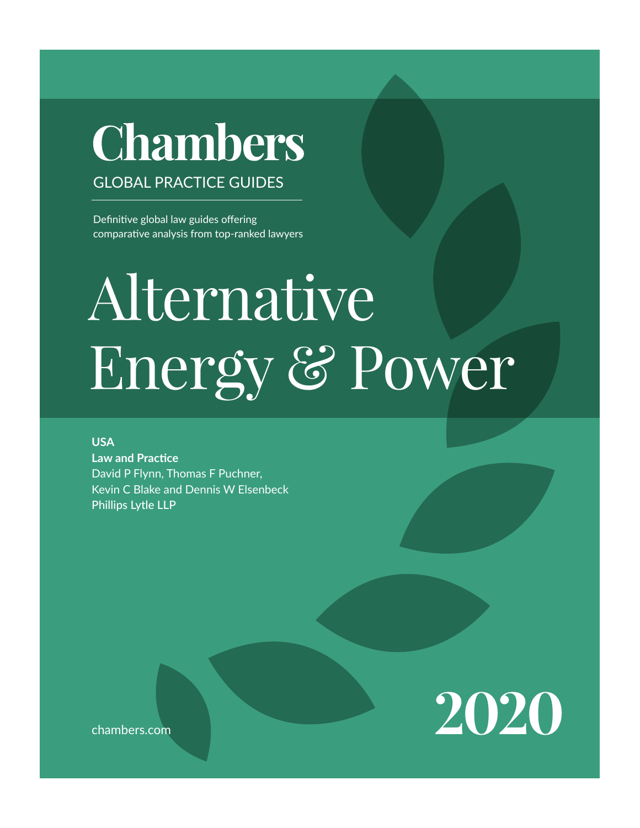# **Chambers GLOBAL PRACTICE GUIDES**

Definitive global law guides offering comparative analysis from top-ranked lawyers

# Eneroy & P USA USA

**USA** Law and Practice David P Flynn, Thomas F Puchner, Kevin C Blake and Dennis W Elsenbeck Phillips Lytle LLP

**2020**

chambers.com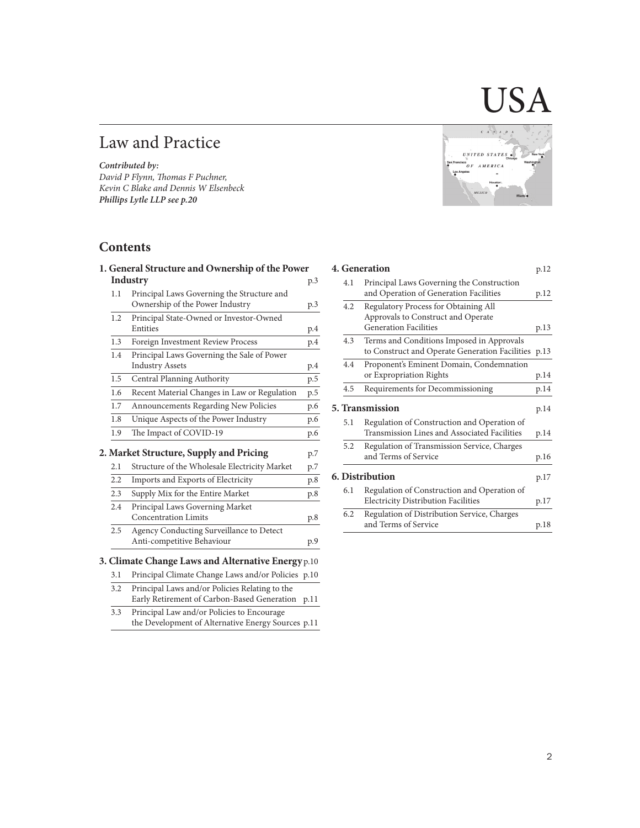# Law and Practice

*Contributed by: David P Flynn, Thomas F Puchner, Kevin C Blake and Dennis W Elsenbeck Phillips Lytle LLP see p.20*

# **Contents**

|     | 1. General Structure and Ownership of the Power    |     |
|-----|----------------------------------------------------|-----|
|     | Industry                                           | p.3 |
| 1.1 | Principal Laws Governing the Structure and         |     |
|     | Ownership of the Power Industry                    | p.3 |
| 1.2 | Principal State-Owned or Investor-Owned            |     |
|     | Entities                                           | p.4 |
| 1.3 | Foreign Investment Review Process                  | p.4 |
| 1.4 | Principal Laws Governing the Sale of Power         |     |
|     | <b>Industry Assets</b>                             | p.4 |
| 1.5 | Central Planning Authority                         | p.5 |
| 1.6 | Recent Material Changes in Law or Regulation       | p.5 |
| 1.7 | Announcements Regarding New Policies               | p.6 |
| 1.8 | Unique Aspects of the Power Industry               | p.6 |
| 1.9 | The Impact of COVID-19                             | p.6 |
|     | 2. Market Structure, Supply and Pricing            | p.7 |
| 2.1 | Structure of the Wholesale Electricity Market      | p.7 |
| 2.2 | Imports and Exports of Electricity                 | p.8 |
| 2.3 | Supply Mix for the Entire Market                   | p.8 |
| 2.4 | Principal Laws Governing Market                    |     |
|     | <b>Concentration Limits</b>                        | p.8 |
| 2.5 | Agency Conducting Surveillance to Detect           |     |
|     | Anti-competitive Behaviour                         | p.9 |
|     | 3. Climate Change Laws and Alternative Energy p.10 |     |
| 3.1 | Principal Climate Change Laws and/or Policies p.10 |     |
| 3.2 | Principal Laws and/or Policies Relating to the     |     |

# Early Retirement of Carbon-Based Generation p.11

3.3 Principal Law and/or Policies to Encourage the Development of Alternative Energy Sources p.11



 $\bm{\mathsf{A}}$ 

# **4. Generation** p.12

| 4.1 | Principal Laws Governing the Construction           |      |
|-----|-----------------------------------------------------|------|
|     | and Operation of Generation Facilities              | p.12 |
| 4.2 | Regulatory Process for Obtaining All                |      |
|     | Approvals to Construct and Operate                  |      |
|     | <b>Generation Facilities</b>                        | p.13 |
| 4.3 | Terms and Conditions Imposed in Approvals           |      |
|     | to Construct and Operate Generation Facilities p.13 |      |
| 4.4 | Proponent's Eminent Domain, Condemnation            |      |
|     | or Expropriation Rights                             | p.14 |
| 4.5 | Requirements for Decommissioning                    | p.14 |
|     | <b>5. Transmission</b>                              | p.14 |
| 5.1 | Regulation of Construction and Operation of         |      |
|     | Transmission Lines and Associated Facilities        | p.14 |
| 5.2 | Regulation of Transmission Service, Charges         |      |
|     | and Terms of Service                                | p.16 |
|     | 6. Distribution                                     |      |
|     |                                                     | p.17 |
| 6.1 | Regulation of Construction and Operation of         |      |
|     | <b>Electricity Distribution Facilities</b>          | p.17 |
| 6.2 | Regulation of Distribution Service, Charges         |      |
|     | and Terms of Service                                | p.18 |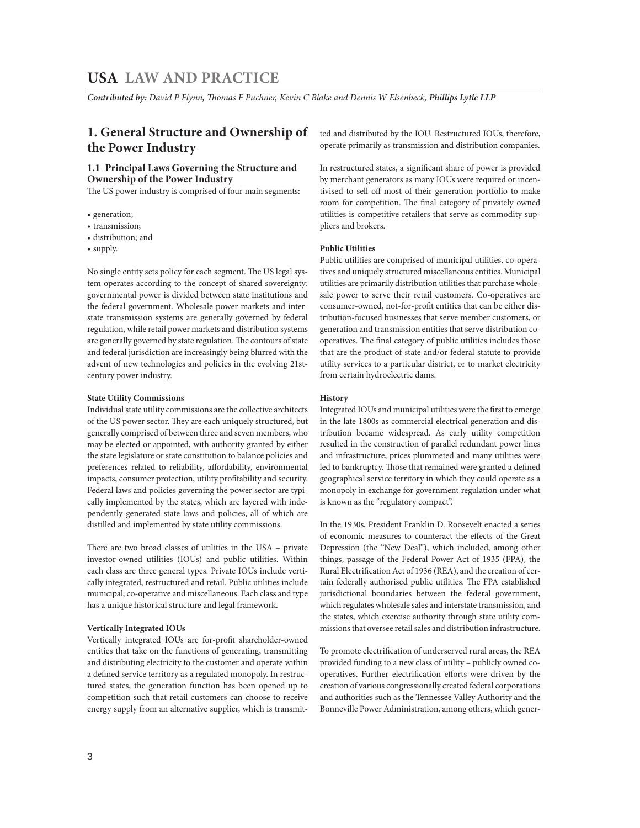*Contributed by: David P Flynn, Thomas F Puchner, Kevin C Blake and Dennis W Elsenbeck, Phillips Lytle LLP* 

# **1. General Structure and Ownership of the Power Industry**

# **1.1 Principal Laws Governing the Structure and Ownership of the Power Industry**

The US power industry is comprised of four main segments:

- generation;
- transmission;
- distribution; and
- supply.

No single entity sets policy for each segment. The US legal system operates according to the concept of shared sovereignty: governmental power is divided between state institutions and the federal government. Wholesale power markets and interstate transmission systems are generally governed by federal regulation, while retail power markets and distribution systems are generally governed by state regulation. The contours of state and federal jurisdiction are increasingly being blurred with the advent of new technologies and policies in the evolving 21stcentury power industry.

### **State Utility Commissions**

Individual state utility commissions are the collective architects of the US power sector. They are each uniquely structured, but generally comprised of between three and seven members, who may be elected or appointed, with authority granted by either the state legislature or state constitution to balance policies and preferences related to reliability, affordability, environmental impacts, consumer protection, utility profitability and security. Federal laws and policies governing the power sector are typically implemented by the states, which are layered with independently generated state laws and policies, all of which are distilled and implemented by state utility commissions.

There are two broad classes of utilities in the USA – private investor-owned utilities (IOUs) and public utilities. Within each class are three general types. Private IOUs include vertically integrated, restructured and retail. Public utilities include municipal, co-operative and miscellaneous. Each class and type has a unique historical structure and legal framework.

### **Vertically Integrated IOUs**

Vertically integrated IOUs are for-profit shareholder-owned entities that take on the functions of generating, transmitting and distributing electricity to the customer and operate within a defined service territory as a regulated monopoly. In restructured states, the generation function has been opened up to competition such that retail customers can choose to receive energy supply from an alternative supplier, which is transmitted and distributed by the IOU. Restructured IOUs, therefore, operate primarily as transmission and distribution companies.

In restructured states, a significant share of power is provided by merchant generators as many IOUs were required or incentivised to sell off most of their generation portfolio to make room for competition. The final category of privately owned utilities is competitive retailers that serve as commodity suppliers and brokers.

# **Public Utilities**

Public utilities are comprised of municipal utilities, co-operatives and uniquely structured miscellaneous entities. Municipal utilities are primarily distribution utilities that purchase wholesale power to serve their retail customers. Co-operatives are consumer-owned, not-for-profit entities that can be either distribution-focused businesses that serve member customers, or generation and transmission entities that serve distribution cooperatives. The final category of public utilities includes those that are the product of state and/or federal statute to provide utility services to a particular district, or to market electricity from certain hydroelectric dams.

### **History**

Integrated IOUs and municipal utilities were the first to emerge in the late 1800s as commercial electrical generation and distribution became widespread. As early utility competition resulted in the construction of parallel redundant power lines and infrastructure, prices plummeted and many utilities were led to bankruptcy. Those that remained were granted a defined geographical service territory in which they could operate as a monopoly in exchange for government regulation under what is known as the "regulatory compact".

In the 1930s, President Franklin D. Roosevelt enacted a series of economic measures to counteract the effects of the Great Depression (the "New Deal"), which included, among other things, passage of the Federal Power Act of 1935 (FPA), the Rural Electrification Act of 1936 (REA), and the creation of certain federally authorised public utilities. The FPA established jurisdictional boundaries between the federal government, which regulates wholesale sales and interstate transmission, and the states, which exercise authority through state utility commissions that oversee retail sales and distribution infrastructure.

To promote electrification of underserved rural areas, the REA provided funding to a new class of utility – publicly owned cooperatives. Further electrification efforts were driven by the creation of various congressionally created federal corporations and authorities such as the Tennessee Valley Authority and the Bonneville Power Administration, among others, which gener-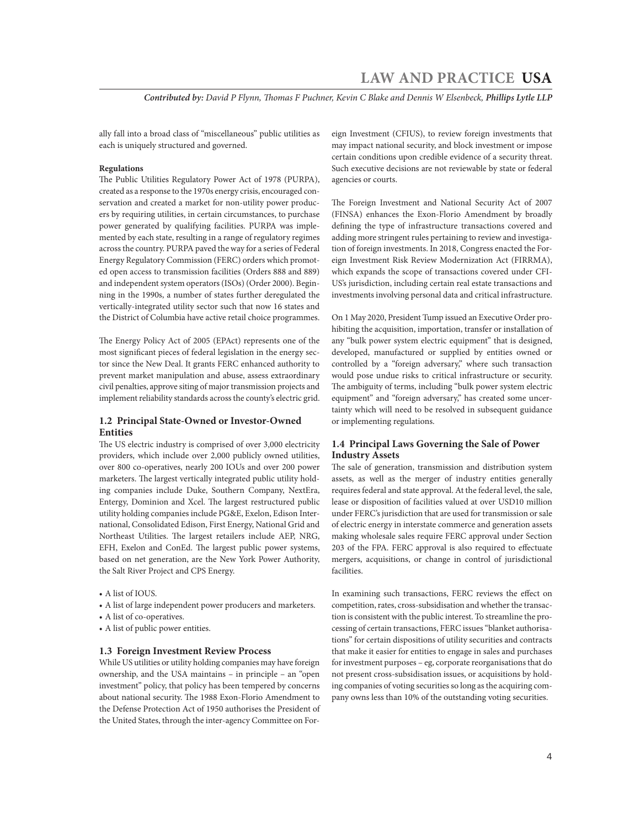*Contributed by: David P Flynn, Thomas F Puchner, Kevin C Blake and Dennis W Elsenbeck, Phillips Lytle LLP*

ally fall into a broad class of "miscellaneous" public utilities as each is uniquely structured and governed.

# **Regulations**

The Public Utilities Regulatory Power Act of 1978 (PURPA), created as a response to the 1970s energy crisis, encouraged conservation and created a market for non-utility power producers by requiring utilities, in certain circumstances, to purchase power generated by qualifying facilities. PURPA was implemented by each state, resulting in a range of regulatory regimes across the country. PURPA paved the way for a series of Federal Energy Regulatory Commission (FERC) orders which promoted open access to transmission facilities (Orders 888 and 889) and independent system operators (ISOs) (Order 2000). Beginning in the 1990s, a number of states further deregulated the vertically-integrated utility sector such that now 16 states and the District of Columbia have active retail choice programmes.

The Energy Policy Act of 2005 (EPAct) represents one of the most significant pieces of federal legislation in the energy sector since the New Deal. It grants FERC enhanced authority to prevent market manipulation and abuse, assess extraordinary civil penalties, approve siting of major transmission projects and implement reliability standards across the county's electric grid.

# **1.2 Principal State-Owned or Investor-Owned Entities**

The US electric industry is comprised of over 3,000 electricity providers, which include over 2,000 publicly owned utilities, over 800 co-operatives, nearly 200 IOUs and over 200 power marketers. The largest vertically integrated public utility holding companies include Duke, Southern Company, NextEra, Entergy, Dominion and Xcel. The largest restructured public utility holding companies include PG&E, Exelon, Edison International, Consolidated Edison, First Energy, National Grid and Northeast Utilities. The largest retailers include AEP, NRG, EFH, Exelon and ConEd. The largest public power systems, based on net generation, are the New York Power Authority, the Salt River Project and CPS Energy.

- A list of IOUS.
- A list of large independent power producers and marketers.
- A list of co-operatives.
- A list of public power entities.

### **1.3 Foreign Investment Review Process**

While US utilities or utility holding companies may have foreign ownership, and the USA maintains – in principle – an "open investment" policy, that policy has been tempered by concerns about national security. The 1988 Exon-Florio Amendment to the Defense Protection Act of 1950 authorises the President of the United States, through the inter-agency Committee on For-

eign Investment (CFIUS), to review foreign investments that may impact national security, and block investment or impose certain conditions upon credible evidence of a security threat. Such executive decisions are not reviewable by state or federal agencies or courts.

The Foreign Investment and National Security Act of 2007 (FINSA) enhances the Exon-Florio Amendment by broadly defining the type of infrastructure transactions covered and adding more stringent rules pertaining to review and investigation of foreign investments. In 2018, Congress enacted the Foreign Investment Risk Review Modernization Act (FIRRMA), which expands the scope of transactions covered under CFI-US's jurisdiction, including certain real estate transactions and investments involving personal data and critical infrastructure.

On 1 May 2020, President Tump issued an Executive Order prohibiting the acquisition, importation, transfer or installation of any "bulk power system electric equipment" that is designed, developed, manufactured or supplied by entities owned or controlled by a "foreign adversary," where such transaction would pose undue risks to critical infrastructure or security. The ambiguity of terms, including "bulk power system electric equipment" and "foreign adversary," has created some uncertainty which will need to be resolved in subsequent guidance or implementing regulations.

# **1.4 Principal Laws Governing the Sale of Power Industry Assets**

The sale of generation, transmission and distribution system assets, as well as the merger of industry entities generally requires federal and state approval. At the federal level, the sale, lease or disposition of facilities valued at over USD10 million under FERC's jurisdiction that are used for transmission or sale of electric energy in interstate commerce and generation assets making wholesale sales require FERC approval under Section 203 of the FPA. FERC approval is also required to effectuate mergers, acquisitions, or change in control of jurisdictional facilities.

In examining such transactions, FERC reviews the effect on competition, rates, cross-subsidisation and whether the transaction is consistent with the public interest. To streamline the processing of certain transactions, FERC issues "blanket authorisations" for certain dispositions of utility securities and contracts that make it easier for entities to engage in sales and purchases for investment purposes – eg, corporate reorganisations that do not present cross-subsidisation issues, or acquisitions by holding companies of voting securities so long as the acquiring company owns less than 10% of the outstanding voting securities.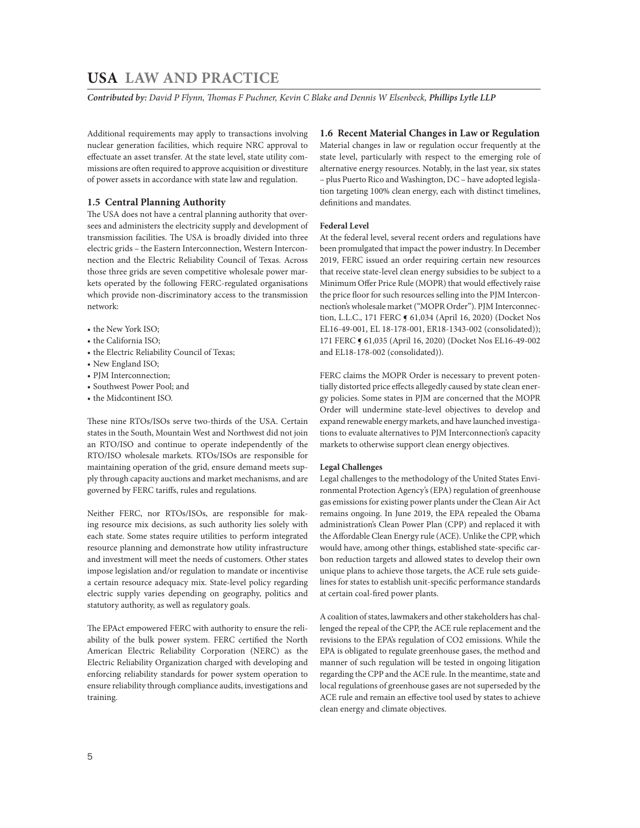*Contributed by: David P Flynn, Thomas F Puchner, Kevin C Blake and Dennis W Elsenbeck, Phillips Lytle LLP* 

Additional requirements may apply to transactions involving nuclear generation facilities, which require NRC approval to effectuate an asset transfer. At the state level, state utility commissions are often required to approve acquisition or divestiture of power assets in accordance with state law and regulation.

# **1.5 Central Planning Authority**

The USA does not have a central planning authority that oversees and administers the electricity supply and development of transmission facilities. The USA is broadly divided into three electric grids – the Eastern Interconnection, Western Interconnection and the Electric Reliability Council of Texas. Across those three grids are seven competitive wholesale power markets operated by the following FERC-regulated organisations which provide non-discriminatory access to the transmission network:

- the New York ISO;
- the California ISO;
- the Electric Reliability Council of Texas;
- New England ISO;
- PJM Interconnection;
- Southwest Power Pool; and
- the Midcontinent ISO.

These nine RTOs/ISOs serve two-thirds of the USA. Certain states in the South, Mountain West and Northwest did not join an RTO/ISO and continue to operate independently of the RTO/ISO wholesale markets. RTOs/ISOs are responsible for maintaining operation of the grid, ensure demand meets supply through capacity auctions and market mechanisms, and are governed by FERC tariffs, rules and regulations.

Neither FERC, nor RTOs/ISOs, are responsible for making resource mix decisions, as such authority lies solely with each state. Some states require utilities to perform integrated resource planning and demonstrate how utility infrastructure and investment will meet the needs of customers. Other states impose legislation and/or regulation to mandate or incentivise a certain resource adequacy mix. State-level policy regarding electric supply varies depending on geography, politics and statutory authority, as well as regulatory goals.

The EPAct empowered FERC with authority to ensure the reliability of the bulk power system. FERC certified the North American Electric Reliability Corporation (NERC) as the Electric Reliability Organization charged with developing and enforcing reliability standards for power system operation to ensure reliability through compliance audits, investigations and training.

# **1.6 Recent Material Changes in Law or Regulation**

Material changes in law or regulation occur frequently at the state level, particularly with respect to the emerging role of alternative energy resources. Notably, in the last year, six states – plus Puerto Rico and Washington, DC – have adopted legislation targeting 100% clean energy, each with distinct timelines, definitions and mandates.

### **Federal Level**

At the federal level, several recent orders and regulations have been promulgated that impact the power industry. In December 2019, FERC issued an order requiring certain new resources that receive state-level clean energy subsidies to be subject to a Minimum Offer Price Rule (MOPR) that would effectively raise the price floor for such resources selling into the PJM Interconnection's wholesale market ("MOPR Order"). PJM Interconnection, L.L.C., 171 FERC ¶ 61,034 (April 16, 2020) (Docket Nos EL16-49-001, EL 18-178-001, ER18-1343-002 (consolidated)); 171 FERC ¶ 61,035 (April 16, 2020) (Docket Nos EL16-49-002 and EL18-178-002 (consolidated)).

FERC claims the MOPR Order is necessary to prevent potentially distorted price effects allegedly caused by state clean energy policies. Some states in PJM are concerned that the MOPR Order will undermine state-level objectives to develop and expand renewable energy markets, and have launched investigations to evaluate alternatives to PJM Interconnection's capacity markets to otherwise support clean energy objectives.

### **Legal Challenges**

Legal challenges to the methodology of the United States Environmental Protection Agency's (EPA) regulation of greenhouse gas emissions for existing power plants under the Clean Air Act remains ongoing. In June 2019, the EPA repealed the Obama administration's Clean Power Plan (CPP) and replaced it with the Affordable Clean Energy rule (ACE). Unlike the CPP, which would have, among other things, established state-specific carbon reduction targets and allowed states to develop their own unique plans to achieve those targets, the ACE rule sets guidelines for states to establish unit-specific performance standards at certain coal-fired power plants.

A coalition of states, lawmakers and other stakeholders has challenged the repeal of the CPP, the ACE rule replacement and the revisions to the EPA's regulation of CO2 emissions. While the EPA is obligated to regulate greenhouse gases, the method and manner of such regulation will be tested in ongoing litigation regarding the CPP and the ACE rule. In the meantime, state and local regulations of greenhouse gases are not superseded by the ACE rule and remain an effective tool used by states to achieve clean energy and climate objectives.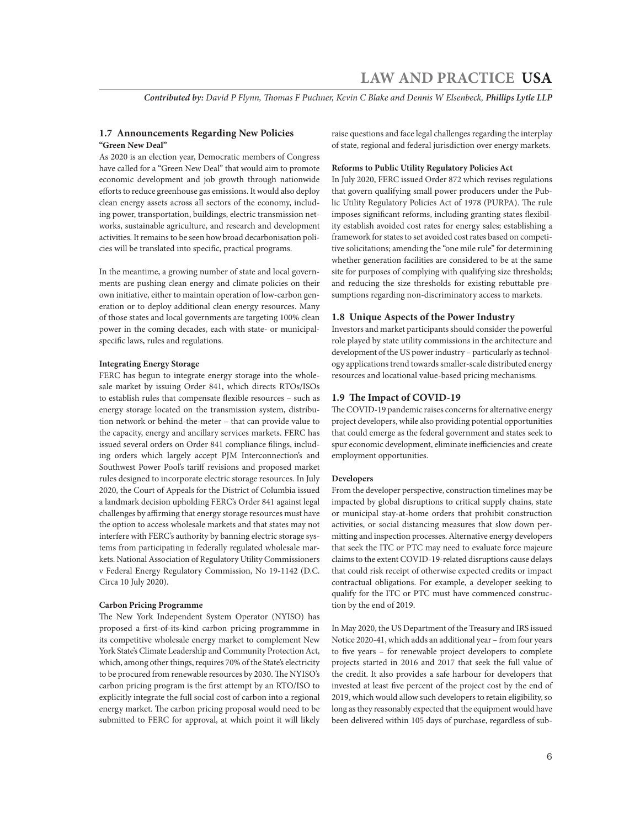*Contributed by: David P Flynn, Thomas F Puchner, Kevin C Blake and Dennis W Elsenbeck, Phillips Lytle LLP*

# **1.7 Announcements Regarding New Policies "Green New Deal"**

As 2020 is an election year, Democratic members of Congress have called for a "Green New Deal" that would aim to promote economic development and job growth through nationwide efforts to reduce greenhouse gas emissions. It would also deploy clean energy assets across all sectors of the economy, including power, transportation, buildings, electric transmission networks, sustainable agriculture, and research and development activities. It remains to be seen how broad decarbonisation policies will be translated into specific, practical programs.

In the meantime, a growing number of state and local governments are pushing clean energy and climate policies on their own initiative, either to maintain operation of low-carbon generation or to deploy additional clean energy resources. Many of those states and local governments are targeting 100% clean power in the coming decades, each with state- or municipalspecific laws, rules and regulations.

# **Integrating Energy Storage**

FERC has begun to integrate energy storage into the wholesale market by issuing Order 841, which directs RTOs/ISOs to establish rules that compensate flexible resources – such as energy storage located on the transmission system, distribution network or behind-the-meter – that can provide value to the capacity, energy and ancillary services markets. FERC has issued several orders on Order 841 compliance filings, including orders which largely accept PJM Interconnection's and Southwest Power Pool's tariff revisions and proposed market rules designed to incorporate electric storage resources. In July 2020, the Court of Appeals for the District of Columbia issued a landmark decision upholding FERC's Order 841 against legal challenges by affirming that energy storage resources must have the option to access wholesale markets and that states may not interfere with FERC's authority by banning electric storage systems from participating in federally regulated wholesale markets. National Association of Regulatory Utility Commissioners v Federal Energy Regulatory Commission, No 19-1142 (D.C. Circa 10 July 2020).

# **Carbon Pricing Programme**

The New York Independent System Operator (NYISO) has proposed a first-of-its-kind carbon pricing programmme in its competitive wholesale energy market to complement New York State's Climate Leadership and Community Protection Act, which, among other things, requires 70% of the State's electricity to be procured from renewable resources by 2030. The NYISO's carbon pricing program is the first attempt by an RTO/ISO to explicitly integrate the full social cost of carbon into a regional energy market. The carbon pricing proposal would need to be submitted to FERC for approval, at which point it will likely raise questions and face legal challenges regarding the interplay of state, regional and federal jurisdiction over energy markets.

### **Reforms to Public Utility Regulatory Policies Act**

In July 2020, FERC issued Order 872 which revises regulations that govern qualifying small power producers under the Public Utility Regulatory Policies Act of 1978 (PURPA). The rule imposes significant reforms, including granting states flexibility establish avoided cost rates for energy sales; establishing a framework for states to set avoided cost rates based on competitive solicitations; amending the "one mile rule" for determining whether generation facilities are considered to be at the same site for purposes of complying with qualifying size thresholds; and reducing the size thresholds for existing rebuttable presumptions regarding non-discriminatory access to markets.

# **1.8 Unique Aspects of the Power Industry**

Investors and market participants should consider the powerful role played by state utility commissions in the architecture and development of the US power industry – particularly as technology applications trend towards smaller-scale distributed energy resources and locational value-based pricing mechanisms.

# **1.9 The Impact of COVID-19**

The COVID-19 pandemic raises concerns for alternative energy project developers, while also providing potential opportunities that could emerge as the federal government and states seek to spur economic development, eliminate inefficiencies and create employment opportunities.

# **Developers**

From the developer perspective, construction timelines may be impacted by global disruptions to critical supply chains, state or municipal stay-at-home orders that prohibit construction activities, or social distancing measures that slow down permitting and inspection processes. Alternative energy developers that seek the ITC or PTC may need to evaluate force majeure claims to the extent COVID-19-related disruptions cause delays that could risk receipt of otherwise expected credits or impact contractual obligations. For example, a developer seeking to qualify for the ITC or PTC must have commenced construction by the end of 2019.

In May 2020, the US Department of the Treasury and IRS issued Notice 2020-41, which adds an additional year – from four years to five years – for renewable project developers to complete projects started in 2016 and 2017 that seek the full value of the credit. It also provides a safe harbour for developers that invested at least five percent of the project cost by the end of 2019, which would allow such developers to retain eligibility, so long as they reasonably expected that the equipment would have been delivered within 105 days of purchase, regardless of sub-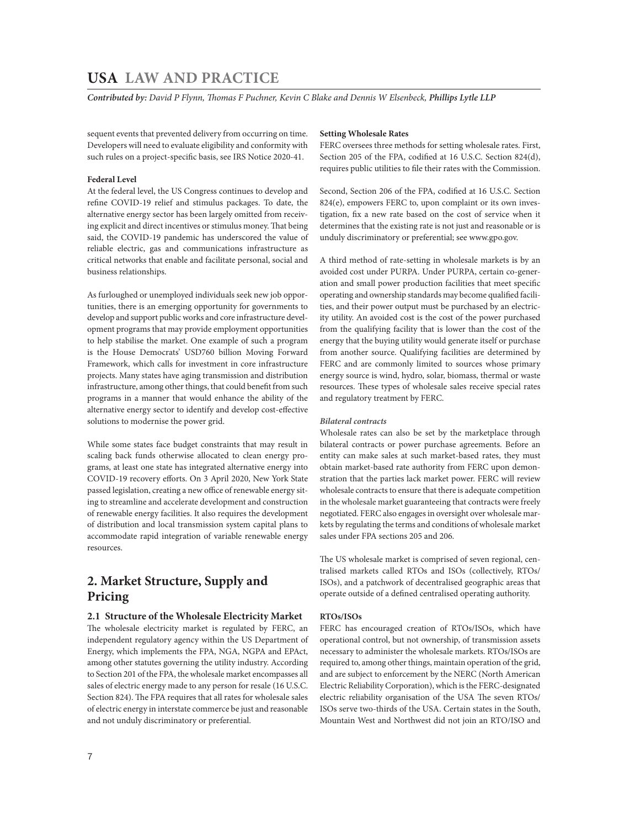*Contributed by: David P Flynn, Thomas F Puchner, Kevin C Blake and Dennis W Elsenbeck, Phillips Lytle LLP* 

sequent events that prevented delivery from occurring on time. Developers will need to evaluate eligibility and conformity with such rules on a project-specific basis, see IRS Notice 2020-41.

# **Federal Level**

At the federal level, the US Congress continues to develop and refine COVID-19 relief and stimulus packages. To date, the alternative energy sector has been largely omitted from receiving explicit and direct incentives or stimulus money. That being said, the COVID-19 pandemic has underscored the value of reliable electric, gas and communications infrastructure as critical networks that enable and facilitate personal, social and business relationships.

As furloughed or unemployed individuals seek new job opportunities, there is an emerging opportunity for governments to develop and support public works and core infrastructure development programs that may provide employment opportunities to help stabilise the market. One example of such a program is the House Democrats' USD760 billion Moving Forward Framework, which calls for investment in core infrastructure projects. Many states have aging transmission and distribution infrastructure, among other things, that could benefit from such programs in a manner that would enhance the ability of the alternative energy sector to identify and develop cost-effective solutions to modernise the power grid.

While some states face budget constraints that may result in scaling back funds otherwise allocated to clean energy programs, at least one state has integrated alternative energy into COVID-19 recovery efforts. On 3 April 2020, New York State passed legislation, creating a new office of renewable energy siting to streamline and accelerate development and construction of renewable energy facilities. It also requires the development of distribution and local transmission system capital plans to accommodate rapid integration of variable renewable energy resources.

# **2. Market Structure, Supply and Pricing**

# **2.1 Structure of the Wholesale Electricity Market**

The wholesale electricity market is regulated by FERC, an independent regulatory agency within the US Department of Energy, which implements the FPA, NGA, NGPA and EPAct, among other statutes governing the utility industry. According to Section 201 of the FPA, the wholesale market encompasses all sales of electric energy made to any person for resale (16 U.S.C. Section 824). The FPA requires that all rates for wholesale sales of electric energy in interstate commerce be just and reasonable and not unduly discriminatory or preferential.

# **Setting Wholesale Rates**

FERC oversees three methods for setting wholesale rates. First, Section 205 of the FPA, codified at 16 U.S.C. Section 824(d), requires public utilities to file their rates with the Commission.

Second, Section 206 of the FPA, codified at 16 U.S.C. Section 824(e), empowers FERC to, upon complaint or its own investigation, fix a new rate based on the cost of service when it determines that the existing rate is not just and reasonable or is unduly discriminatory or preferential; see www.gpo.gov.

A third method of rate-setting in wholesale markets is by an avoided cost under PURPA. Under PURPA, certain co-generation and small power production facilities that meet specific operating and ownership standards may become qualified facilities, and their power output must be purchased by an electricity utility. An avoided cost is the cost of the power purchased from the qualifying facility that is lower than the cost of the energy that the buying utility would generate itself or purchase from another source. Qualifying facilities are determined by FERC and are commonly limited to sources whose primary energy source is wind, hydro, solar, biomass, thermal or waste resources. These types of wholesale sales receive special rates and regulatory treatment by FERC.

### *Bilateral contracts*

Wholesale rates can also be set by the marketplace through bilateral contracts or power purchase agreements. Before an entity can make sales at such market-based rates, they must obtain market-based rate authority from FERC upon demonstration that the parties lack market power. FERC will review wholesale contracts to ensure that there is adequate competition in the wholesale market guaranteeing that contracts were freely negotiated. FERC also engages in oversight over wholesale markets by regulating the terms and conditions of wholesale market sales under FPA sections 205 and 206.

The US wholesale market is comprised of seven regional, centralised markets called RTOs and ISOs (collectively, RTOs/ ISOs), and a patchwork of decentralised geographic areas that operate outside of a defined centralised operating authority.

# **RTOs/ISOs**

FERC has encouraged creation of RTOs/ISOs, which have operational control, but not ownership, of transmission assets necessary to administer the wholesale markets. RTOs/ISOs are required to, among other things, maintain operation of the grid, and are subject to enforcement by the NERC (North American Electric Reliability Corporation), which is the FERC-designated electric reliability organisation of the USA The seven RTOs/ ISOs serve two-thirds of the USA. Certain states in the South, Mountain West and Northwest did not join an RTO/ISO and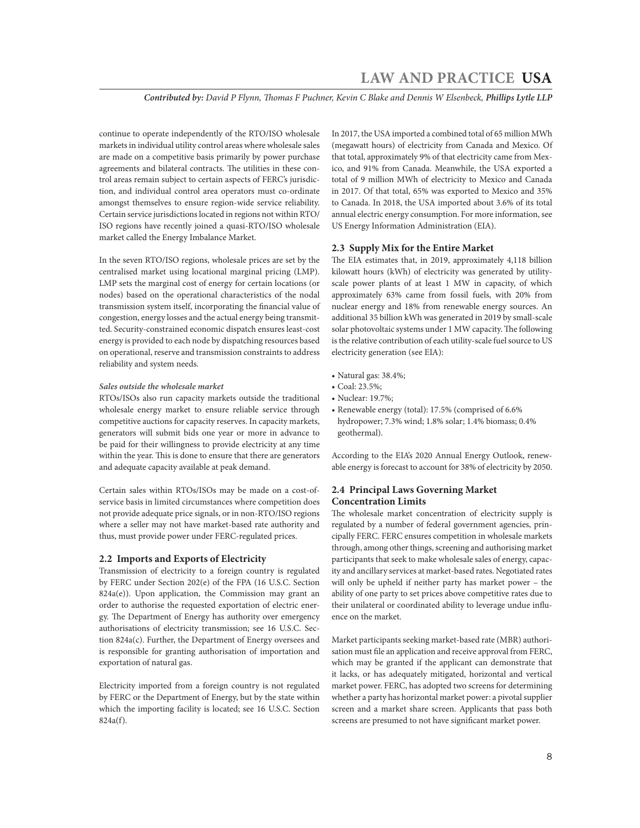*Contributed by: David P Flynn, Thomas F Puchner, Kevin C Blake and Dennis W Elsenbeck, Phillips Lytle LLP*

continue to operate independently of the RTO/ISO wholesale markets in individual utility control areas where wholesale sales are made on a competitive basis primarily by power purchase agreements and bilateral contracts. The utilities in these control areas remain subject to certain aspects of FERC's jurisdiction, and individual control area operators must co-ordinate amongst themselves to ensure region-wide service reliability. Certain service jurisdictions located in regions not within RTO/ ISO regions have recently joined a quasi-RTO/ISO wholesale market called the Energy Imbalance Market.

In the seven RTO/ISO regions, wholesale prices are set by the centralised market using locational marginal pricing (LMP). LMP sets the marginal cost of energy for certain locations (or nodes) based on the operational characteristics of the nodal transmission system itself, incorporating the financial value of congestion, energy losses and the actual energy being transmitted. Security-constrained economic dispatch ensures least-cost energy is provided to each node by dispatching resources based on operational, reserve and transmission constraints to address reliability and system needs.

### *Sales outside the wholesale market*

RTOs/ISOs also run capacity markets outside the traditional wholesale energy market to ensure reliable service through competitive auctions for capacity reserves. In capacity markets, generators will submit bids one year or more in advance to be paid for their willingness to provide electricity at any time within the year. This is done to ensure that there are generators and adequate capacity available at peak demand.

Certain sales within RTOs/ISOs may be made on a cost-ofservice basis in limited circumstances where competition does not provide adequate price signals, or in non-RTO/ISO regions where a seller may not have market-based rate authority and thus, must provide power under FERC-regulated prices.

### **2.2 Imports and Exports of Electricity**

Transmission of electricity to a foreign country is regulated by FERC under Section 202(e) of the FPA (16 U.S.C. Section 824a(e)). Upon application, the Commission may grant an order to authorise the requested exportation of electric energy. The Department of Energy has authority over emergency authorisations of electricity transmission; see 16 U.S.C. Section 824a(c). Further, the Department of Energy oversees and is responsible for granting authorisation of importation and exportation of natural gas.

Electricity imported from a foreign country is not regulated by FERC or the Department of Energy, but by the state within which the importing facility is located; see 16 U.S.C. Section 824a(f).

In 2017, the USA imported a combined total of 65 million MWh (megawatt hours) of electricity from Canada and Mexico. Of that total, approximately 9% of that electricity came from Mexico, and 91% from Canada. Meanwhile, the USA exported a total of 9 million MWh of electricity to Mexico and Canada in 2017. Of that total, 65% was exported to Mexico and 35% to Canada. In 2018, the USA imported about 3.6% of its total annual electric energy consumption. For more information, see US Energy Information Administration (EIA).

### **2.3 Supply Mix for the Entire Market**

The EIA estimates that, in 2019, approximately 4,118 billion kilowatt hours (kWh) of electricity was generated by utilityscale power plants of at least 1 MW in capacity, of which approximately 63% came from fossil fuels, with 20% from nuclear energy and 18% from renewable energy sources. An additional 35 billion kWh was generated in 2019 by small-scale solar photovoltaic systems under 1 MW capacity. The following is the relative contribution of each utility-scale fuel source to US electricity generation (see EIA):

- Natural gas: 38.4%;
- Coal: 23.5%;
- Nuclear: 19.7%;
- Renewable energy (total): 17.5% (comprised of 6.6% hydropower; 7.3% wind; 1.8% solar; 1.4% biomass; 0.4% geothermal).

According to the EIA's 2020 Annual Energy Outlook, renewable energy is forecast to account for 38% of electricity by 2050.

# **2.4 Principal Laws Governing Market Concentration Limits**

The wholesale market concentration of electricity supply is regulated by a number of federal government agencies, principally FERC. FERC ensures competition in wholesale markets through, among other things, screening and authorising market participants that seek to make wholesale sales of energy, capacity and ancillary services at market-based rates. Negotiated rates will only be upheld if neither party has market power – the ability of one party to set prices above competitive rates due to their unilateral or coordinated ability to leverage undue influence on the market.

Market participants seeking market-based rate (MBR) authorisation must file an application and receive approval from FERC, which may be granted if the applicant can demonstrate that it lacks, or has adequately mitigated, horizontal and vertical market power. FERC, has adopted two screens for determining whether a party has horizontal market power: a pivotal supplier screen and a market share screen. Applicants that pass both screens are presumed to not have significant market power.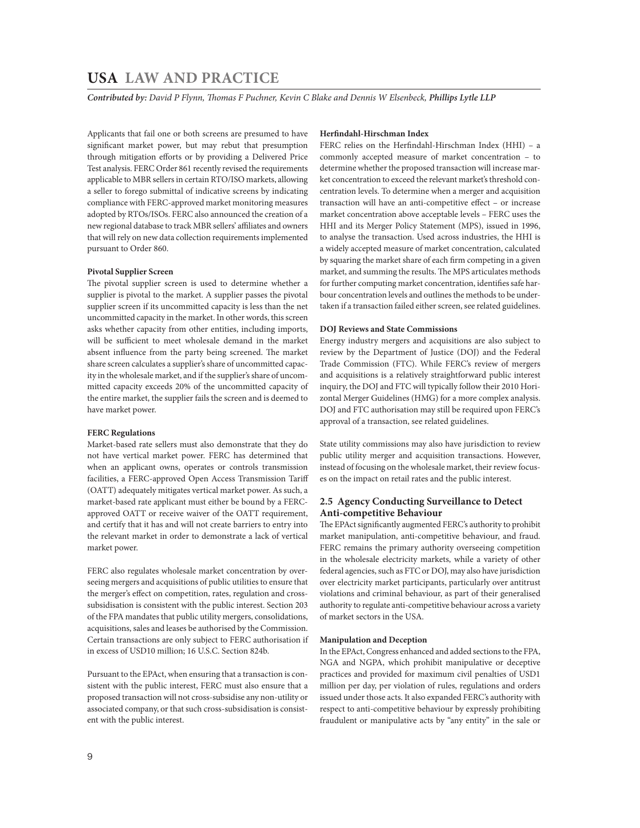*Contributed by: David P Flynn, Thomas F Puchner, Kevin C Blake and Dennis W Elsenbeck, Phillips Lytle LLP* 

Applicants that fail one or both screens are presumed to have significant market power, but may rebut that presumption through mitigation efforts or by providing a Delivered Price Test analysis. FERC Order 861 recently revised the requirements applicable to MBR sellers in certain RTO/ISO markets, allowing a seller to forego submittal of indicative screens by indicating compliance with FERC-approved market monitoring measures adopted by RTOs/ISOs. FERC also announced the creation of a new regional database to track MBR sellers' affiliates and owners that will rely on new data collection requirements implemented pursuant to Order 860.

# **Pivotal Supplier Screen**

The pivotal supplier screen is used to determine whether a supplier is pivotal to the market. A supplier passes the pivotal supplier screen if its uncommitted capacity is less than the net uncommitted capacity in the market. In other words, this screen asks whether capacity from other entities, including imports, will be sufficient to meet wholesale demand in the market absent influence from the party being screened. The market share screen calculates a supplier's share of uncommitted capacity in the wholesale market, and if the supplier's share of uncommitted capacity exceeds 20% of the uncommitted capacity of the entire market, the supplier fails the screen and is deemed to have market power.

### **FERC Regulations**

Market-based rate sellers must also demonstrate that they do not have vertical market power. FERC has determined that when an applicant owns, operates or controls transmission facilities, a FERC-approved Open Access Transmission Tariff (OATT) adequately mitigates vertical market power. As such, a market-based rate applicant must either be bound by a FERCapproved OATT or receive waiver of the OATT requirement, and certify that it has and will not create barriers to entry into the relevant market in order to demonstrate a lack of vertical market power.

FERC also regulates wholesale market concentration by overseeing mergers and acquisitions of public utilities to ensure that the merger's effect on competition, rates, regulation and crosssubsidisation is consistent with the public interest. Section 203 of the FPA mandates that public utility mergers, consolidations, acquisitions, sales and leases be authorised by the Commission. Certain transactions are only subject to FERC authorisation if in excess of USD10 million; 16 U.S.C. Section 824b.

Pursuant to the EPAct, when ensuring that a transaction is consistent with the public interest, FERC must also ensure that a proposed transaction will not cross-subsidise any non-utility or associated company, or that such cross-subsidisation is consistent with the public interest.

# **Herfindahl-Hirschman Index**

FERC relies on the Herfindahl-Hirschman Index (HHI) – a commonly accepted measure of market concentration – to determine whether the proposed transaction will increase market concentration to exceed the relevant market's threshold concentration levels. To determine when a merger and acquisition transaction will have an anti-competitive effect – or increase market concentration above acceptable levels – FERC uses the HHI and its Merger Policy Statement (MPS), issued in 1996, to analyse the transaction. Used across industries, the HHI is a widely accepted measure of market concentration, calculated by squaring the market share of each firm competing in a given market, and summing the results. The MPS articulates methods for further computing market concentration, identifies safe harbour concentration levels and outlines the methods to be undertaken if a transaction failed either screen, see related guidelines.

# **DOJ Reviews and State Commissions**

Energy industry mergers and acquisitions are also subject to review by the Department of Justice (DOJ) and the Federal Trade Commission (FTC). While FERC's review of mergers and acquisitions is a relatively straightforward public interest inquiry, the DOJ and FTC will typically follow their 2010 Horizontal Merger Guidelines (HMG) for a more complex analysis. DOJ and FTC authorisation may still be required upon FERC's approval of a transaction, see related guidelines.

State utility commissions may also have jurisdiction to review public utility merger and acquisition transactions. However, instead of focusing on the wholesale market, their review focuses on the impact on retail rates and the public interest.

# **2.5 Agency Conducting Surveillance to Detect Anti-competitive Behaviour**

The EPAct significantly augmented FERC's authority to prohibit market manipulation, anti-competitive behaviour, and fraud. FERC remains the primary authority overseeing competition in the wholesale electricity markets, while a variety of other federal agencies, such as FTC or DOJ, may also have jurisdiction over electricity market participants, particularly over antitrust violations and criminal behaviour, as part of their generalised authority to regulate anti-competitive behaviour across a variety of market sectors in the USA.

# **Manipulation and Deception**

In the EPAct, Congress enhanced and added sections to the FPA, NGA and NGPA, which prohibit manipulative or deceptive practices and provided for maximum civil penalties of USD1 million per day, per violation of rules, regulations and orders issued under those acts. It also expanded FERC's authority with respect to anti-competitive behaviour by expressly prohibiting fraudulent or manipulative acts by "any entity" in the sale or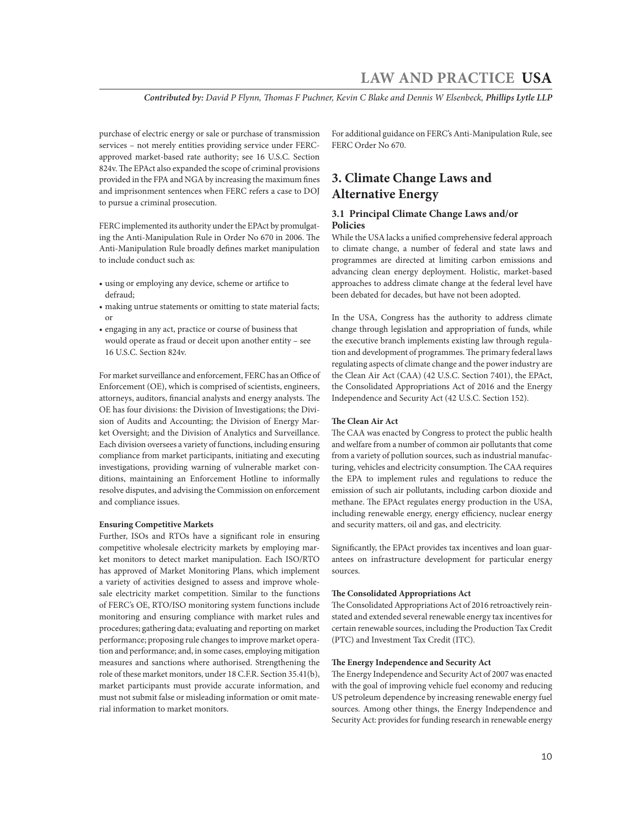*Contributed by: David P Flynn, Thomas F Puchner, Kevin C Blake and Dennis W Elsenbeck, Phillips Lytle LLP*

purchase of electric energy or sale or purchase of transmission services – not merely entities providing service under FERCapproved market-based rate authority; see 16 U.S.C. Section 824v. The EPAct also expanded the scope of criminal provisions provided in the FPA and NGA by increasing the maximum fines and imprisonment sentences when FERC refers a case to DOJ to pursue a criminal prosecution.

FERC implemented its authority under the EPAct by promulgating the Anti-Manipulation Rule in Order No 670 in 2006. The Anti-Manipulation Rule broadly defines market manipulation to include conduct such as:

- using or employing any device, scheme or artifice to defraud;
- making untrue statements or omitting to state material facts; or
- engaging in any act, practice or course of business that would operate as fraud or deceit upon another entity – see 16 U.S.C. Section 824v.

For market surveillance and enforcement, FERC has an Office of Enforcement (OE), which is comprised of scientists, engineers, attorneys, auditors, financial analysts and energy analysts. The OE has four divisions: the Division of Investigations; the Division of Audits and Accounting; the Division of Energy Market Oversight; and the Division of Analytics and Surveillance. Each division oversees a variety of functions, including ensuring compliance from market participants, initiating and executing investigations, providing warning of vulnerable market conditions, maintaining an Enforcement Hotline to informally resolve disputes, and advising the Commission on enforcement and compliance issues.

# **Ensuring Competitive Markets**

Further, ISOs and RTOs have a significant role in ensuring competitive wholesale electricity markets by employing market monitors to detect market manipulation. Each ISO/RTO has approved of Market Monitoring Plans, which implement a variety of activities designed to assess and improve wholesale electricity market competition. Similar to the functions of FERC's OE, RTO/ISO monitoring system functions include monitoring and ensuring compliance with market rules and procedures; gathering data; evaluating and reporting on market performance; proposing rule changes to improve market operation and performance; and, in some cases, employing mitigation measures and sanctions where authorised. Strengthening the role of these market monitors, under 18 C.F.R. Section 35.41(b), market participants must provide accurate information, and must not submit false or misleading information or omit material information to market monitors.

For additional guidance on FERC's Anti-Manipulation Rule, see FERC Order No 670.

# **3. Climate Change Laws and Alternative Energy**

# **3.1 Principal Climate Change Laws and/or Policies**

While the USA lacks a unified comprehensive federal approach to climate change, a number of federal and state laws and programmes are directed at limiting carbon emissions and advancing clean energy deployment. Holistic, market-based approaches to address climate change at the federal level have been debated for decades, but have not been adopted.

In the USA, Congress has the authority to address climate change through legislation and appropriation of funds, while the executive branch implements existing law through regulation and development of programmes. The primary federal laws regulating aspects of climate change and the power industry are the Clean Air Act (CAA) (42 U.S.C. Section 7401), the EPAct, the Consolidated Appropriations Act of 2016 and the Energy Independence and Security Act (42 U.S.C. Section 152).

### **The Clean Air Act**

The CAA was enacted by Congress to protect the public health and welfare from a number of common air pollutants that come from a variety of pollution sources, such as industrial manufacturing, vehicles and electricity consumption. The CAA requires the EPA to implement rules and regulations to reduce the emission of such air pollutants, including carbon dioxide and methane. The EPAct regulates energy production in the USA, including renewable energy, energy efficiency, nuclear energy and security matters, oil and gas, and electricity.

Significantly, the EPAct provides tax incentives and loan guarantees on infrastructure development for particular energy sources.

## **The Consolidated Appropriations Act**

The Consolidated Appropriations Act of 2016 retroactively reinstated and extended several renewable energy tax incentives for certain renewable sources, including the Production Tax Credit (PTC) and Investment Tax Credit (ITC).

# **The Energy Independence and Security Act**

The Energy Independence and Security Act of 2007 was enacted with the goal of improving vehicle fuel economy and reducing US petroleum dependence by increasing renewable energy fuel sources. Among other things, the Energy Independence and Security Act: provides for funding research in renewable energy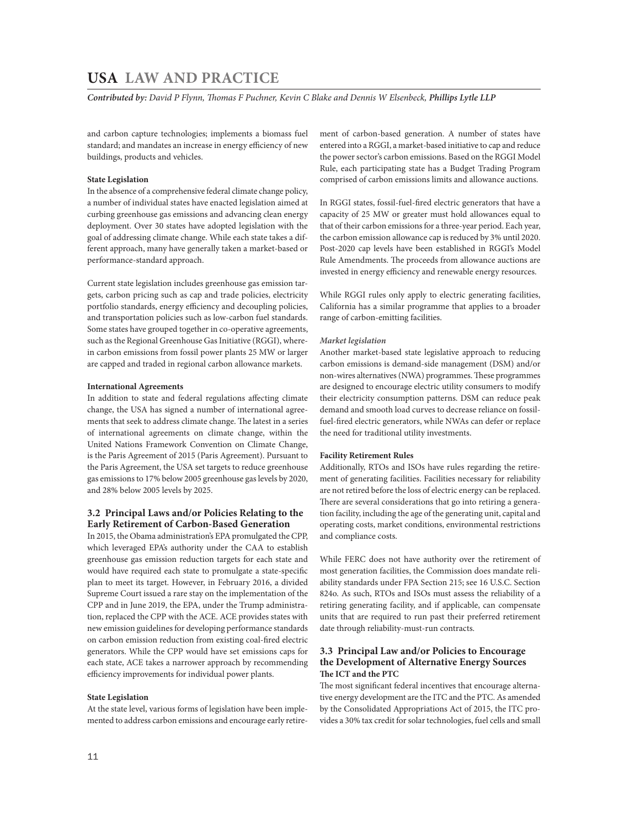*Contributed by: David P Flynn, Thomas F Puchner, Kevin C Blake and Dennis W Elsenbeck, Phillips Lytle LLP* 

and carbon capture technologies; implements a biomass fuel standard; and mandates an increase in energy efficiency of new buildings, products and vehicles.

## **State Legislation**

In the absence of a comprehensive federal climate change policy, a number of individual states have enacted legislation aimed at curbing greenhouse gas emissions and advancing clean energy deployment. Over 30 states have adopted legislation with the goal of addressing climate change. While each state takes a different approach, many have generally taken a market-based or performance-standard approach.

Current state legislation includes greenhouse gas emission targets, carbon pricing such as cap and trade policies, electricity portfolio standards, energy efficiency and decoupling policies, and transportation policies such as low-carbon fuel standards. Some states have grouped together in co-operative agreements, such as the Regional Greenhouse Gas Initiative (RGGI), wherein carbon emissions from fossil power plants 25 MW or larger are capped and traded in regional carbon allowance markets.

### **International Agreements**

In addition to state and federal regulations affecting climate change, the USA has signed a number of international agreements that seek to address climate change. The latest in a series of international agreements on climate change, within the United Nations Framework Convention on Climate Change, is the Paris Agreement of 2015 (Paris Agreement). Pursuant to the Paris Agreement, the USA set targets to reduce greenhouse gas emissions to 17% below 2005 greenhouse gas levels by 2020, and 28% below 2005 levels by 2025.

# **3.2 Principal Laws and/or Policies Relating to the Early Retirement of Carbon-Based Generation**

In 2015, the Obama administration's EPA promulgated the CPP, which leveraged EPA's authority under the CAA to establish greenhouse gas emission reduction targets for each state and would have required each state to promulgate a state-specific plan to meet its target. However, in February 2016, a divided Supreme Court issued a rare stay on the implementation of the CPP and in June 2019, the EPA, under the Trump administration, replaced the CPP with the ACE. ACE provides states with new emission guidelines for developing performance standards on carbon emission reduction from existing coal-fired electric generators. While the CPP would have set emissions caps for each state, ACE takes a narrower approach by recommending efficiency improvements for individual power plants.

# **State Legislation**

At the state level, various forms of legislation have been implemented to address carbon emissions and encourage early retirement of carbon-based generation. A number of states have entered into a RGGI, a market-based initiative to cap and reduce the power sector's carbon emissions. Based on the RGGI Model Rule, each participating state has a Budget Trading Program comprised of carbon emissions limits and allowance auctions.

In RGGI states, fossil-fuel-fired electric generators that have a capacity of 25 MW or greater must hold allowances equal to that of their carbon emissions for a three-year period. Each year, the carbon emission allowance cap is reduced by 3% until 2020. Post-2020 cap levels have been established in RGGI's Model Rule Amendments. The proceeds from allowance auctions are invested in energy efficiency and renewable energy resources.

While RGGI rules only apply to electric generating facilities, California has a similar programme that applies to a broader range of carbon-emitting facilities.

### *Market legislation*

Another market-based state legislative approach to reducing carbon emissions is demand-side management (DSM) and/or non-wires alternatives (NWA) programmes. These programmes are designed to encourage electric utility consumers to modify their electricity consumption patterns. DSM can reduce peak demand and smooth load curves to decrease reliance on fossilfuel-fired electric generators, while NWAs can defer or replace the need for traditional utility investments.

### **Facility Retirement Rules**

Additionally, RTOs and ISOs have rules regarding the retirement of generating facilities. Facilities necessary for reliability are not retired before the loss of electric energy can be replaced. There are several considerations that go into retiring a generation facility, including the age of the generating unit, capital and operating costs, market conditions, environmental restrictions and compliance costs.

While FERC does not have authority over the retirement of most generation facilities, the Commission does mandate reliability standards under FPA Section 215; see 16 U.S.C. Section 824o. As such, RTOs and ISOs must assess the reliability of a retiring generating facility, and if applicable, can compensate units that are required to run past their preferred retirement date through reliability-must-run contracts.

# **3.3 Principal Law and/or Policies to Encourage the Development of Alternative Energy Sources The ICT and the PTC**

The most significant federal incentives that encourage alternative energy development are the ITC and the PTC. As amended by the Consolidated Appropriations Act of 2015, the ITC provides a 30% tax credit for solar technologies, fuel cells and small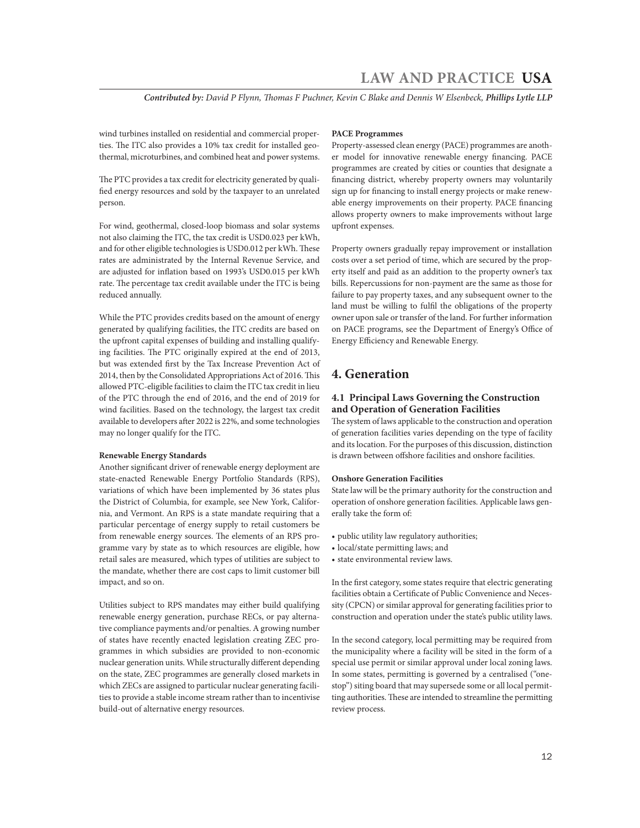*Contributed by: David P Flynn, Thomas F Puchner, Kevin C Blake and Dennis W Elsenbeck, Phillips Lytle LLP*

wind turbines installed on residential and commercial properties. The ITC also provides a 10% tax credit for installed geothermal, microturbines, and combined heat and power systems.

The PTC provides a tax credit for electricity generated by qualified energy resources and sold by the taxpayer to an unrelated person.

For wind, geothermal, closed-loop biomass and solar systems not also claiming the ITC, the tax credit is USD0.023 per kWh, and for other eligible technologies is USD0.012 per kWh. These rates are administrated by the Internal Revenue Service, and are adjusted for inflation based on 1993's USD0.015 per kWh rate. The percentage tax credit available under the ITC is being reduced annually.

While the PTC provides credits based on the amount of energy generated by qualifying facilities, the ITC credits are based on the upfront capital expenses of building and installing qualifying facilities. The PTC originally expired at the end of 2013, but was extended first by the Tax Increase Prevention Act of 2014, then by the Consolidated Appropriations Act of 2016. This allowed PTC-eligible facilities to claim the ITC tax credit in lieu of the PTC through the end of 2016, and the end of 2019 for wind facilities. Based on the technology, the largest tax credit available to developers after 2022 is 22%, and some technologies may no longer qualify for the ITC.

### **Renewable Energy Standards**

Another significant driver of renewable energy deployment are state-enacted Renewable Energy Portfolio Standards (RPS), variations of which have been implemented by 36 states plus the District of Columbia, for example, see New York, California, and Vermont. An RPS is a state mandate requiring that a particular percentage of energy supply to retail customers be from renewable energy sources. The elements of an RPS programme vary by state as to which resources are eligible, how retail sales are measured, which types of utilities are subject to the mandate, whether there are cost caps to limit customer bill impact, and so on.

Utilities subject to RPS mandates may either build qualifying renewable energy generation, purchase RECs, or pay alternative compliance payments and/or penalties. A growing number of states have recently enacted legislation creating ZEC programmes in which subsidies are provided to non-economic nuclear generation units. While structurally different depending on the state, ZEC programmes are generally closed markets in which ZECs are assigned to particular nuclear generating facilities to provide a stable income stream rather than to incentivise build-out of alternative energy resources.

# **PACE Programmes**

Property-assessed clean energy (PACE) programmes are another model for innovative renewable energy financing. PACE programmes are created by cities or counties that designate a financing district, whereby property owners may voluntarily sign up for financing to install energy projects or make renewable energy improvements on their property. PACE financing allows property owners to make improvements without large upfront expenses.

Property owners gradually repay improvement or installation costs over a set period of time, which are secured by the property itself and paid as an addition to the property owner's tax bills. Repercussions for non-payment are the same as those for failure to pay property taxes, and any subsequent owner to the land must be willing to fulfil the obligations of the property owner upon sale or transfer of the land. For further information on PACE programs, see the Department of Energy's Office of Energy Efficiency and Renewable Energy.

# **4. Generation**

# **4.1 Principal Laws Governing the Construction and Operation of Generation Facilities**

The system of laws applicable to the construction and operation of generation facilities varies depending on the type of facility and its location. For the purposes of this discussion, distinction is drawn between offshore facilities and onshore facilities.

# **Onshore Generation Facilities**

State law will be the primary authority for the construction and operation of onshore generation facilities. Applicable laws generally take the form of:

- public utility law regulatory authorities;
- local/state permitting laws; and
- state environmental review laws.

In the first category, some states require that electric generating facilities obtain a Certificate of Public Convenience and Necessity (CPCN) or similar approval for generating facilities prior to construction and operation under the state's public utility laws.

In the second category, local permitting may be required from the municipality where a facility will be sited in the form of a special use permit or similar approval under local zoning laws. In some states, permitting is governed by a centralised ("onestop") siting board that may supersede some or all local permitting authorities. These are intended to streamline the permitting review process.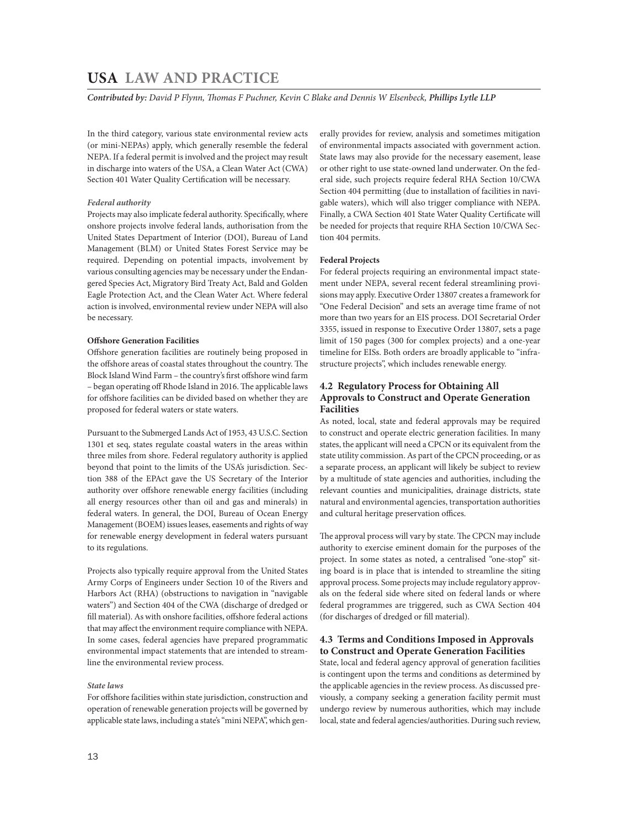*Contributed by: David P Flynn, Thomas F Puchner, Kevin C Blake and Dennis W Elsenbeck, Phillips Lytle LLP* 

In the third category, various state environmental review acts (or mini-NEPAs) apply, which generally resemble the federal NEPA. If a federal permit is involved and the project may result in discharge into waters of the USA, a Clean Water Act (CWA) Section 401 Water Quality Certification will be necessary.

# *Federal authority*

Projects may also implicate federal authority. Specifically, where onshore projects involve federal lands, authorisation from the United States Department of Interior (DOI), Bureau of Land Management (BLM) or United States Forest Service may be required. Depending on potential impacts, involvement by various consulting agencies may be necessary under the Endangered Species Act, Migratory Bird Treaty Act, Bald and Golden Eagle Protection Act, and the Clean Water Act. Where federal action is involved, environmental review under NEPA will also be necessary.

# **Offshore Generation Facilities**

Offshore generation facilities are routinely being proposed in the offshore areas of coastal states throughout the country. The Block Island Wind Farm – the country's first offshore wind farm – began operating off Rhode Island in 2016. The applicable laws for offshore facilities can be divided based on whether they are proposed for federal waters or state waters.

Pursuant to the Submerged Lands Act of 1953, 43 U.S.C. Section 1301 et seq, states regulate coastal waters in the areas within three miles from shore. Federal regulatory authority is applied beyond that point to the limits of the USA's jurisdiction. Section 388 of the EPAct gave the US Secretary of the Interior authority over offshore renewable energy facilities (including all energy resources other than oil and gas and minerals) in federal waters. In general, the DOI, Bureau of Ocean Energy Management (BOEM) issues leases, easements and rights of way for renewable energy development in federal waters pursuant to its regulations.

Projects also typically require approval from the United States Army Corps of Engineers under Section 10 of the Rivers and Harbors Act (RHA) (obstructions to navigation in "navigable waters") and Section 404 of the CWA (discharge of dredged or fill material). As with onshore facilities, offshore federal actions that may affect the environment require compliance with NEPA. In some cases, federal agencies have prepared programmatic environmental impact statements that are intended to streamline the environmental review process.

# *State laws*

For offshore facilities within state jurisdiction, construction and operation of renewable generation projects will be governed by applicable state laws, including a state's "mini NEPA", which generally provides for review, analysis and sometimes mitigation of environmental impacts associated with government action. State laws may also provide for the necessary easement, lease or other right to use state-owned land underwater. On the federal side, such projects require federal RHA Section 10/CWA Section 404 permitting (due to installation of facilities in navigable waters), which will also trigger compliance with NEPA. Finally, a CWA Section 401 State Water Quality Certificate will be needed for projects that require RHA Section 10/CWA Section 404 permits.

### **Federal Projects**

For federal projects requiring an environmental impact statement under NEPA, several recent federal streamlining provisions may apply. Executive Order 13807 creates a framework for "One Federal Decision" and sets an average time frame of not more than two years for an EIS process. DOI Secretarial Order 3355, issued in response to Executive Order 13807, sets a page limit of 150 pages (300 for complex projects) and a one-year timeline for EISs. Both orders are broadly applicable to "infrastructure projects", which includes renewable energy.

# **4.2 Regulatory Process for Obtaining All Approvals to Construct and Operate Generation Facilities**

As noted, local, state and federal approvals may be required to construct and operate electric generation facilities. In many states, the applicant will need a CPCN or its equivalent from the state utility commission. As part of the CPCN proceeding, or as a separate process, an applicant will likely be subject to review by a multitude of state agencies and authorities, including the relevant counties and municipalities, drainage districts, state natural and environmental agencies, transportation authorities and cultural heritage preservation offices.

The approval process will vary by state. The CPCN may include authority to exercise eminent domain for the purposes of the project. In some states as noted, a centralised "one-stop" siting board is in place that is intended to streamline the siting approval process. Some projects may include regulatory approvals on the federal side where sited on federal lands or where federal programmes are triggered, such as CWA Section 404 (for discharges of dredged or fill material).

# **4.3 Terms and Conditions Imposed in Approvals to Construct and Operate Generation Facilities**

State, local and federal agency approval of generation facilities is contingent upon the terms and conditions as determined by the applicable agencies in the review process. As discussed previously, a company seeking a generation facility permit must undergo review by numerous authorities, which may include local, state and federal agencies/authorities. During such review,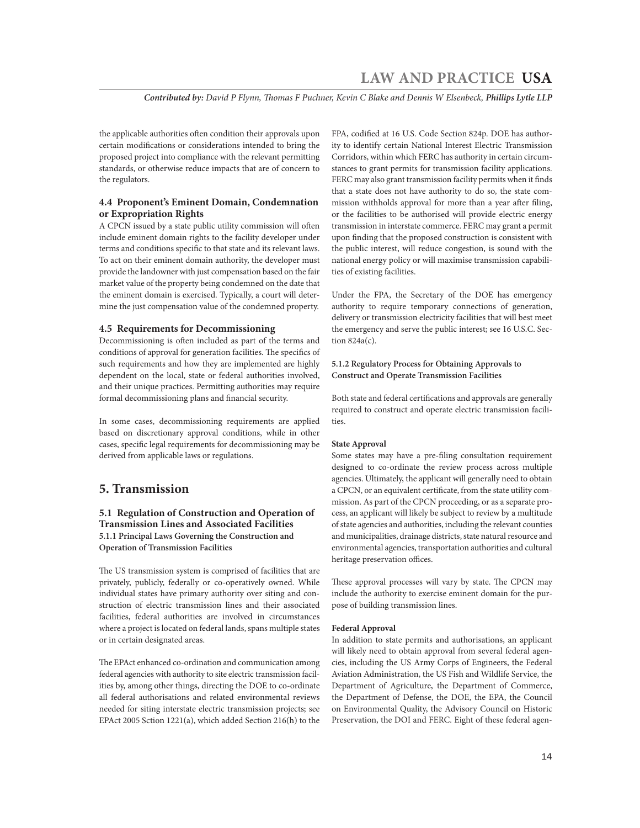*Contributed by: David P Flynn, Thomas F Puchner, Kevin C Blake and Dennis W Elsenbeck, Phillips Lytle LLP*

the applicable authorities often condition their approvals upon certain modifications or considerations intended to bring the proposed project into compliance with the relevant permitting standards, or otherwise reduce impacts that are of concern to the regulators.

# **4.4 Proponent's Eminent Domain, Condemnation or Expropriation Rights**

A CPCN issued by a state public utility commission will often include eminent domain rights to the facility developer under terms and conditions specific to that state and its relevant laws. To act on their eminent domain authority, the developer must provide the landowner with just compensation based on the fair market value of the property being condemned on the date that the eminent domain is exercised. Typically, a court will determine the just compensation value of the condemned property.

# **4.5 Requirements for Decommissioning**

Decommissioning is often included as part of the terms and conditions of approval for generation facilities. The specifics of such requirements and how they are implemented are highly dependent on the local, state or federal authorities involved, and their unique practices. Permitting authorities may require formal decommissioning plans and financial security.

In some cases, decommissioning requirements are applied based on discretionary approval conditions, while in other cases, specific legal requirements for decommissioning may be derived from applicable laws or regulations.

# **5. Transmission**

# **5.1 Regulation of Construction and Operation of Transmission Lines and Associated Facilities 5.1.1 Principal Laws Governing the Construction and Operation of Transmission Facilities**

The US transmission system is comprised of facilities that are privately, publicly, federally or co-operatively owned. While individual states have primary authority over siting and construction of electric transmission lines and their associated facilities, federal authorities are involved in circumstances where a project is located on federal lands, spans multiple states or in certain designated areas.

The EPAct enhanced co-ordination and communication among federal agencies with authority to site electric transmission facilities by, among other things, directing the DOE to co-ordinate all federal authorisations and related environmental reviews needed for siting interstate electric transmission projects; see EPAct 2005 Sction 1221(a), which added Section 216(h) to the

FPA, codified at 16 U.S. Code Section 824p. DOE has authority to identify certain National Interest Electric Transmission Corridors, within which FERC has authority in certain circumstances to grant permits for transmission facility applications. FERC may also grant transmission facility permits when it finds that a state does not have authority to do so, the state commission withholds approval for more than a year after filing, or the facilities to be authorised will provide electric energy transmission in interstate commerce. FERC may grant a permit upon finding that the proposed construction is consistent with the public interest, will reduce congestion, is sound with the national energy policy or will maximise transmission capabilities of existing facilities.

Under the FPA, the Secretary of the DOE has emergency authority to require temporary connections of generation, delivery or transmission electricity facilities that will best meet the emergency and serve the public interest; see 16 U.S.C. Section 824a(c).

# **5.1.2 Regulatory Process for Obtaining Approvals to Construct and Operate Transmission Facilities**

Both state and federal certifications and approvals are generally required to construct and operate electric transmission facilities.

# **State Approval**

Some states may have a pre-filing consultation requirement designed to co-ordinate the review process across multiple agencies. Ultimately, the applicant will generally need to obtain a CPCN, or an equivalent certificate, from the state utility commission. As part of the CPCN proceeding, or as a separate process, an applicant will likely be subject to review by a multitude of state agencies and authorities, including the relevant counties and municipalities, drainage districts, state natural resource and environmental agencies, transportation authorities and cultural heritage preservation offices.

These approval processes will vary by state. The CPCN may include the authority to exercise eminent domain for the purpose of building transmission lines.

### **Federal Approval**

In addition to state permits and authorisations, an applicant will likely need to obtain approval from several federal agencies, including the US Army Corps of Engineers, the Federal Aviation Administration, the US Fish and Wildlife Service, the Department of Agriculture, the Department of Commerce, the Department of Defense, the DOE, the EPA, the Council on Environmental Quality, the Advisory Council on Historic Preservation, the DOI and FERC. Eight of these federal agen-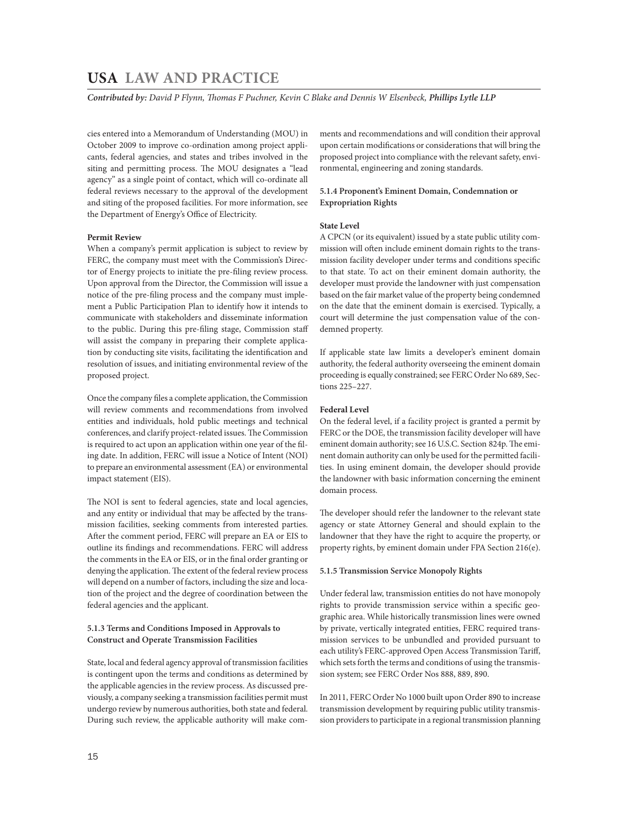*Contributed by: David P Flynn, Thomas F Puchner, Kevin C Blake and Dennis W Elsenbeck, Phillips Lytle LLP* 

cies entered into a Memorandum of Understanding (MOU) in October 2009 to improve co-ordination among project applicants, federal agencies, and states and tribes involved in the siting and permitting process. The MOU designates a "lead agency" as a single point of contact, which will co-ordinate all federal reviews necessary to the approval of the development and siting of the proposed facilities. For more information, see the Department of Energy's Office of Electricity.

# **Permit Review**

When a company's permit application is subject to review by FERC, the company must meet with the Commission's Director of Energy projects to initiate the pre-filing review process. Upon approval from the Director, the Commission will issue a notice of the pre-filing process and the company must implement a Public Participation Plan to identify how it intends to communicate with stakeholders and disseminate information to the public. During this pre-filing stage, Commission staff will assist the company in preparing their complete application by conducting site visits, facilitating the identification and resolution of issues, and initiating environmental review of the proposed project.

Once the company files a complete application, the Commission will review comments and recommendations from involved entities and individuals, hold public meetings and technical conferences, and clarify project-related issues. The Commission is required to act upon an application within one year of the filing date. In addition, FERC will issue a Notice of Intent (NOI) to prepare an environmental assessment (EA) or environmental impact statement (EIS).

The NOI is sent to federal agencies, state and local agencies, and any entity or individual that may be affected by the transmission facilities, seeking comments from interested parties. After the comment period, FERC will prepare an EA or EIS to outline its findings and recommendations. FERC will address the comments in the EA or EIS, or in the final order granting or denying the application. The extent of the federal review process will depend on a number of factors, including the size and location of the project and the degree of coordination between the federal agencies and the applicant.

# **5.1.3 Terms and Conditions Imposed in Approvals to Construct and Operate Transmission Facilities**

State, local and federal agency approval of transmission facilities is contingent upon the terms and conditions as determined by the applicable agencies in the review process. As discussed previously, a company seeking a transmission facilities permit must undergo review by numerous authorities, both state and federal. During such review, the applicable authority will make comments and recommendations and will condition their approval upon certain modifications or considerations that will bring the proposed project into compliance with the relevant safety, environmental, engineering and zoning standards.

# **5.1.4 Proponent's Eminent Domain, Condemnation or Expropriation Rights**

### **State Level**

A CPCN (or its equivalent) issued by a state public utility commission will often include eminent domain rights to the transmission facility developer under terms and conditions specific to that state. To act on their eminent domain authority, the developer must provide the landowner with just compensation based on the fair market value of the property being condemned on the date that the eminent domain is exercised. Typically, a court will determine the just compensation value of the condemned property.

If applicable state law limits a developer's eminent domain authority, the federal authority overseeing the eminent domain proceeding is equally constrained; see FERC Order No 689, Sections 225–227.

# **Federal Level**

On the federal level, if a facility project is granted a permit by FERC or the DOE, the transmission facility developer will have eminent domain authority; see 16 U.S.C. Section 824p. The eminent domain authority can only be used for the permitted facilities. In using eminent domain, the developer should provide the landowner with basic information concerning the eminent domain process.

The developer should refer the landowner to the relevant state agency or state Attorney General and should explain to the landowner that they have the right to acquire the property, or property rights, by eminent domain under FPA Section 216(e).

# **5.1.5 Transmission Service Monopoly Rights**

Under federal law, transmission entities do not have monopoly rights to provide transmission service within a specific geographic area. While historically transmission lines were owned by private, vertically integrated entities, FERC required transmission services to be unbundled and provided pursuant to each utility's FERC-approved Open Access Transmission Tariff, which sets forth the terms and conditions of using the transmission system; see FERC Order Nos 888, 889, 890.

In 2011, FERC Order No 1000 built upon Order 890 to increase transmission development by requiring public utility transmission providers to participate in a regional transmission planning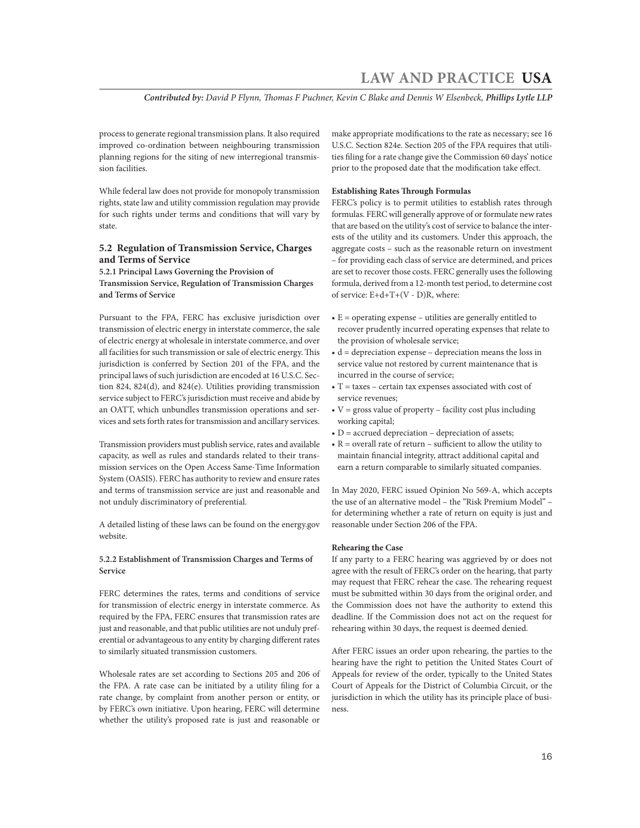*Contributed by: David P Flynn, Thomas F Puchner, Kevin C Blake and Dennis W Elsenbeck, Phillips Lytle LLP*

process to generate regional transmission plans. It also required improved co-ordination between neighbouring transmission planning regions for the siting of new interregional transmission facilities.

While federal law does not provide for monopoly transmission rights, state law and utility commission regulation may provide for such rights under terms and conditions that will vary by state.

# **5.2 Regulation of Transmission Service, Charges and Terms of Service**

**5.2.1 Principal Laws Governing the Provision of Transmission Service, Regulation of Transmission Charges and Terms of Service**

Pursuant to the FPA, FERC has exclusive jurisdiction over transmission of electric energy in interstate commerce, the sale of electric energy at wholesale in interstate commerce, and over all facilities for such transmission or sale of electric energy. This jurisdiction is conferred by Section 201 of the FPA, and the principal laws of such jurisdiction are encoded at 16 U.S.C. Section 824, 824(d), and 824(e). Utilities providing transmission service subject to FERC's jurisdiction must receive and abide by an OATT, which unbundles transmission operations and services and sets forth rates for transmission and ancillary services.

Transmission providers must publish service, rates and available capacity, as well as rules and standards related to their transmission services on the Open Access Same-Time Information System (OASIS). FERC has authority to review and ensure rates and terms of transmission service are just and reasonable and not unduly discriminatory of preferential.

A detailed listing of these laws can be found on the energy.gov website.

# **5.2.2 Establishment of Transmission Charges and Terms of Service**

FERC determines the rates, terms and conditions of service for transmission of electric energy in interstate commerce. As required by the FPA, FERC ensures that transmission rates are just and reasonable, and that public utilities are not unduly preferential or advantageous to any entity by charging different rates to similarly situated transmission customers.

Wholesale rates are set according to Sections 205 and 206 of the FPA. A rate case can be initiated by a utility filing for a rate change, by complaint from another person or entity, or by FERC's own initiative. Upon hearing, FERC will determine whether the utility's proposed rate is just and reasonable or

make appropriate modifications to the rate as necessary; see 16 U.S.C. Section 824e. Section 205 of the FPA requires that utilities filing for a rate change give the Commission 60 days' notice prior to the proposed date that the modification take effect.

# **Establishing Rates Through Formulas**

FERC's policy is to permit utilities to establish rates through formulas. FERC will generally approve of or formulate new rates that are based on the utility's cost of service to balance the interests of the utility and its customers. Under this approach, the aggregate costs – such as the reasonable return on investment – for providing each class of service are determined, and prices are set to recover those costs. FERC generally uses the following formula, derived from a 12-month test period, to determine cost of service: E+d+T+(V - D)R, where:

- $\bullet$  E = operating expense utilities are generally entitled to recover prudently incurred operating expenses that relate to the provision of wholesale service;
- $\bullet$  d = depreciation expense depreciation means the loss in service value not restored by current maintenance that is incurred in the course of service;
- $\bullet$  T = taxes certain tax expenses associated with cost of service revenues;
- $V =$  gross value of property facility cost plus including working capital;
- $\bullet$  D = accrued depreciation depreciation of assets;
- $R =$  overall rate of return sufficient to allow the utility to maintain financial integrity, attract additional capital and earn a return comparable to similarly situated companies.

In May 2020, FERC issued Opinion No 569-A, which accepts the use of an alternative model – the "Risk Premium Model" – for determining whether a rate of return on equity is just and reasonable under Section 206 of the FPA.

# **Rehearing the Case**

If any party to a FERC hearing was aggrieved by or does not agree with the result of FERC's order on the hearing, that party may request that FERC rehear the case. The rehearing request must be submitted within 30 days from the original order, and the Commission does not have the authority to extend this deadline. If the Commission does not act on the request for rehearing within 30 days, the request is deemed denied.

After FERC issues an order upon rehearing, the parties to the hearing have the right to petition the United States Court of Appeals for review of the order, typically to the United States Court of Appeals for the District of Columbia Circuit, or the jurisdiction in which the utility has its principle place of business.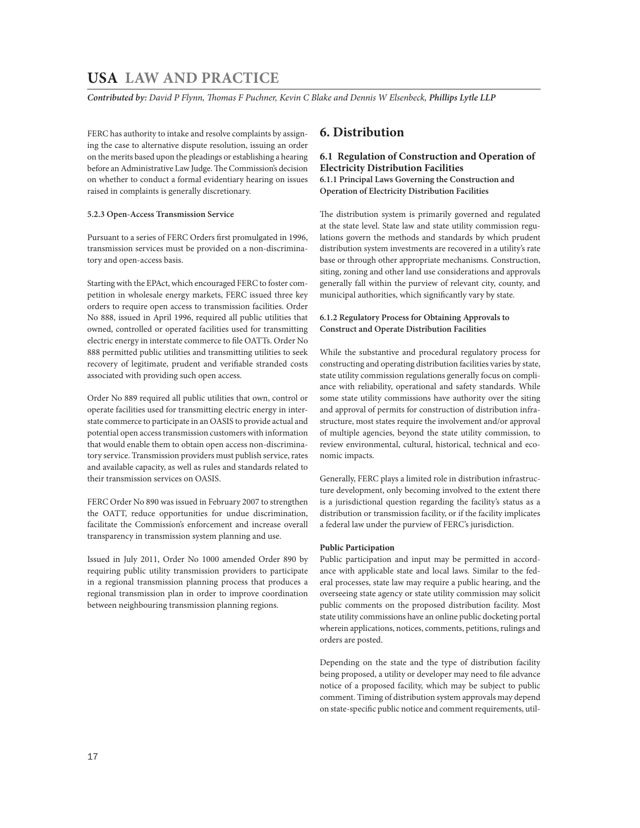*Contributed by: David P Flynn, Thomas F Puchner, Kevin C Blake and Dennis W Elsenbeck, Phillips Lytle LLP* 

FERC has authority to intake and resolve complaints by assigning the case to alternative dispute resolution, issuing an order on the merits based upon the pleadings or establishing a hearing before an Administrative Law Judge. The Commission's decision on whether to conduct a formal evidentiary hearing on issues raised in complaints is generally discretionary.

# **5.2.3 Open-Access Transmission Service**

Pursuant to a series of FERC Orders first promulgated in 1996, transmission services must be provided on a non-discriminatory and open-access basis.

Starting with the EPAct, which encouraged FERC to foster competition in wholesale energy markets, FERC issued three key orders to require open access to transmission facilities. Order No 888, issued in April 1996, required all public utilities that owned, controlled or operated facilities used for transmitting electric energy in interstate commerce to file OATTs. Order No 888 permitted public utilities and transmitting utilities to seek recovery of legitimate, prudent and verifiable stranded costs associated with providing such open access.

Order No 889 required all public utilities that own, control or operate facilities used for transmitting electric energy in interstate commerce to participate in an OASIS to provide actual and potential open access transmission customers with information that would enable them to obtain open access non-discriminatory service. Transmission providers must publish service, rates and available capacity, as well as rules and standards related to their transmission services on OASIS.

FERC Order No 890 was issued in February 2007 to strengthen the OATT, reduce opportunities for undue discrimination, facilitate the Commission's enforcement and increase overall transparency in transmission system planning and use.

Issued in July 2011, Order No 1000 amended Order 890 by requiring public utility transmission providers to participate in a regional transmission planning process that produces a regional transmission plan in order to improve coordination between neighbouring transmission planning regions.

# **6. Distribution**

# **6.1 Regulation of Construction and Operation of Electricity Distribution Facilities**

**6.1.1 Principal Laws Governing the Construction and Operation of Electricity Distribution Facilities**

The distribution system is primarily governed and regulated at the state level. State law and state utility commission regulations govern the methods and standards by which prudent distribution system investments are recovered in a utility's rate base or through other appropriate mechanisms. Construction, siting, zoning and other land use considerations and approvals generally fall within the purview of relevant city, county, and municipal authorities, which significantly vary by state.

# **6.1.2 Regulatory Process for Obtaining Approvals to Construct and Operate Distribution Facilities**

While the substantive and procedural regulatory process for constructing and operating distribution facilities varies by state, state utility commission regulations generally focus on compliance with reliability, operational and safety standards. While some state utility commissions have authority over the siting and approval of permits for construction of distribution infrastructure, most states require the involvement and/or approval of multiple agencies, beyond the state utility commission, to review environmental, cultural, historical, technical and economic impacts.

Generally, FERC plays a limited role in distribution infrastructure development, only becoming involved to the extent there is a jurisdictional question regarding the facility's status as a distribution or transmission facility, or if the facility implicates a federal law under the purview of FERC's jurisdiction.

# **Public Participation**

Public participation and input may be permitted in accordance with applicable state and local laws. Similar to the federal processes, state law may require a public hearing, and the overseeing state agency or state utility commission may solicit public comments on the proposed distribution facility. Most state utility commissions have an online public docketing portal wherein applications, notices, comments, petitions, rulings and orders are posted.

Depending on the state and the type of distribution facility being proposed, a utility or developer may need to file advance notice of a proposed facility, which may be subject to public comment. Timing of distribution system approvals may depend on state-specific public notice and comment requirements, util-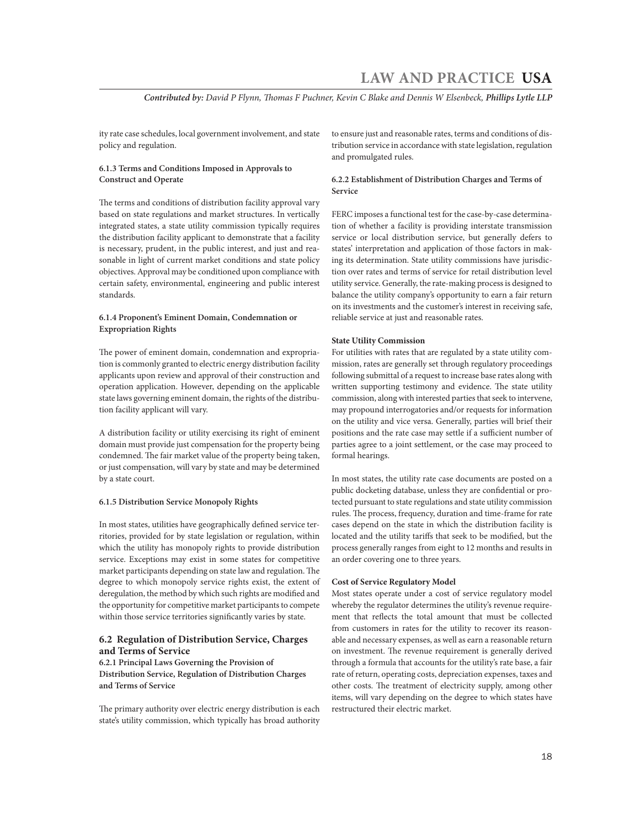*Contributed by: David P Flynn, Thomas F Puchner, Kevin C Blake and Dennis W Elsenbeck, Phillips Lytle LLP*

ity rate case schedules, local government involvement, and state policy and regulation.

# **6.1.3 Terms and Conditions Imposed in Approvals to Construct and Operate**

The terms and conditions of distribution facility approval vary based on state regulations and market structures. In vertically integrated states, a state utility commission typically requires the distribution facility applicant to demonstrate that a facility is necessary, prudent, in the public interest, and just and reasonable in light of current market conditions and state policy objectives. Approval may be conditioned upon compliance with certain safety, environmental, engineering and public interest standards.

# **6.1.4 Proponent's Eminent Domain, Condemnation or Expropriation Rights**

The power of eminent domain, condemnation and expropriation is commonly granted to electric energy distribution facility applicants upon review and approval of their construction and operation application. However, depending on the applicable state laws governing eminent domain, the rights of the distribution facility applicant will vary.

A distribution facility or utility exercising its right of eminent domain must provide just compensation for the property being condemned. The fair market value of the property being taken, or just compensation, will vary by state and may be determined by a state court.

### **6.1.5 Distribution Service Monopoly Rights**

In most states, utilities have geographically defined service territories, provided for by state legislation or regulation, within which the utility has monopoly rights to provide distribution service. Exceptions may exist in some states for competitive market participants depending on state law and regulation. The degree to which monopoly service rights exist, the extent of deregulation, the method by which such rights are modified and the opportunity for competitive market participants to compete within those service territories significantly varies by state.

# **6.2 Regulation of Distribution Service, Charges and Terms of Service**

**6.2.1 Principal Laws Governing the Provision of Distribution Service, Regulation of Distribution Charges and Terms of Service**

The primary authority over electric energy distribution is each state's utility commission, which typically has broad authority to ensure just and reasonable rates, terms and conditions of distribution service in accordance with state legislation, regulation and promulgated rules.

# **6.2.2 Establishment of Distribution Charges and Terms of Service**

FERC imposes a functional test for the case-by-case determination of whether a facility is providing interstate transmission service or local distribution service, but generally defers to states' interpretation and application of those factors in making its determination. State utility commissions have jurisdiction over rates and terms of service for retail distribution level utility service. Generally, the rate-making process is designed to balance the utility company's opportunity to earn a fair return on its investments and the customer's interest in receiving safe, reliable service at just and reasonable rates.

# **State Utility Commission**

For utilities with rates that are regulated by a state utility commission, rates are generally set through regulatory proceedings following submittal of a request to increase base rates along with written supporting testimony and evidence. The state utility commission, along with interested parties that seek to intervene, may propound interrogatories and/or requests for information on the utility and vice versa. Generally, parties will brief their positions and the rate case may settle if a sufficient number of parties agree to a joint settlement, or the case may proceed to formal hearings.

In most states, the utility rate case documents are posted on a public docketing database, unless they are confidential or protected pursuant to state regulations and state utility commission rules. The process, frequency, duration and time-frame for rate cases depend on the state in which the distribution facility is located and the utility tariffs that seek to be modified, but the process generally ranges from eight to 12 months and results in an order covering one to three years.

# **Cost of Service Regulatory Model**

Most states operate under a cost of service regulatory model whereby the regulator determines the utility's revenue requirement that reflects the total amount that must be collected from customers in rates for the utility to recover its reasonable and necessary expenses, as well as earn a reasonable return on investment. The revenue requirement is generally derived through a formula that accounts for the utility's rate base, a fair rate of return, operating costs, depreciation expenses, taxes and other costs. The treatment of electricity supply, among other items, will vary depending on the degree to which states have restructured their electric market.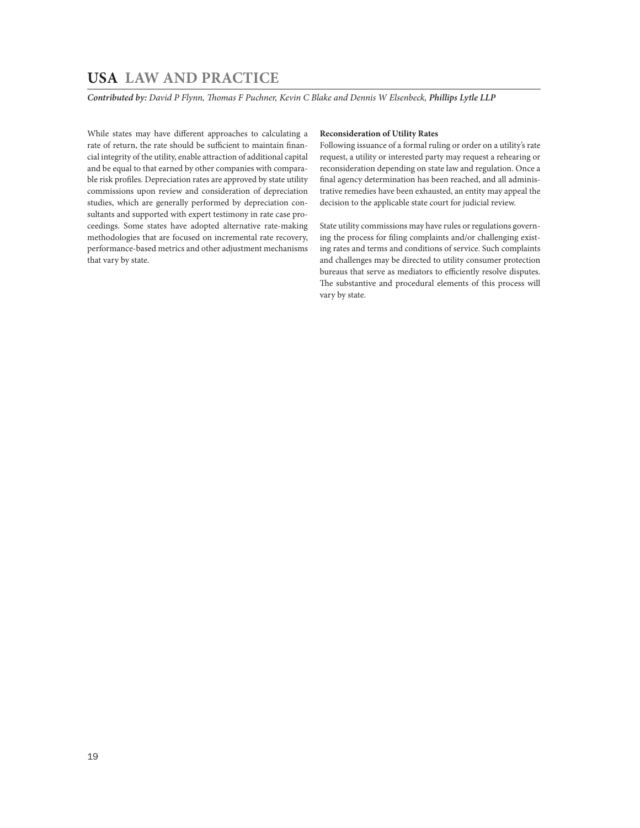*Contributed by: David P Flynn, Thomas F Puchner, Kevin C Blake and Dennis W Elsenbeck, Phillips Lytle LLP* 

While states may have different approaches to calculating a rate of return, the rate should be sufficient to maintain financial integrity of the utility, enable attraction of additional capital and be equal to that earned by other companies with comparable risk profiles. Depreciation rates are approved by state utility commissions upon review and consideration of depreciation studies, which are generally performed by depreciation consultants and supported with expert testimony in rate case proceedings. Some states have adopted alternative rate-making methodologies that are focused on incremental rate recovery, performance-based metrics and other adjustment mechanisms that vary by state.

# **Reconsideration of Utility Rates**

Following issuance of a formal ruling or order on a utility's rate request, a utility or interested party may request a rehearing or reconsideration depending on state law and regulation. Once a final agency determination has been reached, and all administrative remedies have been exhausted, an entity may appeal the decision to the applicable state court for judicial review.

State utility commissions may have rules or regulations governing the process for filing complaints and/or challenging existing rates and terms and conditions of service. Such complaints and challenges may be directed to utility consumer protection bureaus that serve as mediators to efficiently resolve disputes. The substantive and procedural elements of this process will vary by state.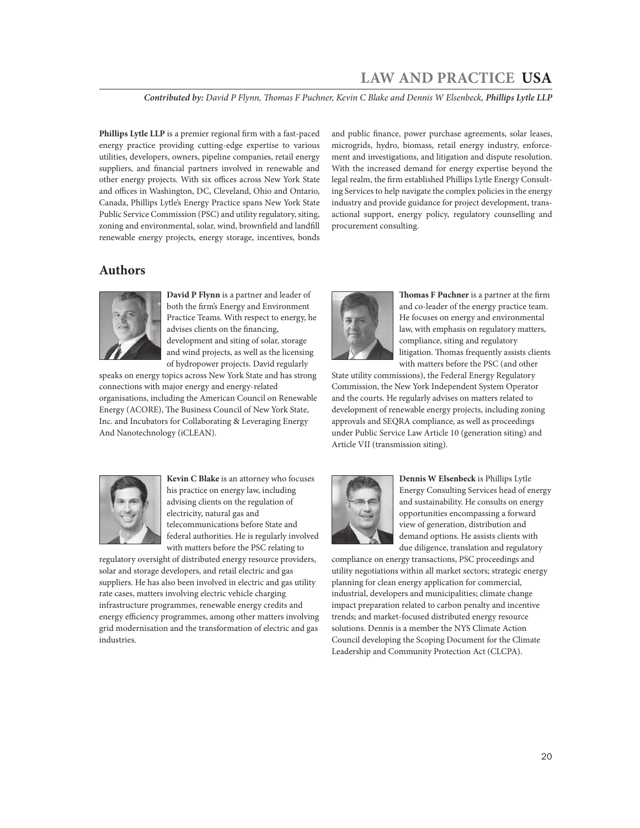*Contributed by: David P Flynn, Thomas F Puchner, Kevin C Blake and Dennis W Elsenbeck, Phillips Lytle LLP*

**Phillips Lytle LLP** is a premier regional firm with a fast-paced energy practice providing cutting-edge expertise to various utilities, developers, owners, pipeline companies, retail energy suppliers, and financial partners involved in renewable and other energy projects. With six offices across New York State and offices in Washington, DC, Cleveland, Ohio and Ontario, Canada, Phillips Lytle's Energy Practice spans New York State Public Service Commission (PSC) and utility regulatory, siting, zoning and environmental, solar, wind, brownfield and landfill renewable energy projects, energy storage, incentives, bonds

and public finance, power purchase agreements, solar leases, microgrids, hydro, biomass, retail energy industry, enforcement and investigations, and litigation and dispute resolution. With the increased demand for energy expertise beyond the legal realm, the firm established Phillips Lytle Energy Consulting Services to help navigate the complex policies in the energy industry and provide guidance for project development, transactional support, energy policy, regulatory counselling and procurement consulting.

# **Authors**



**David P Flynn** is a partner and leader of both the firm's Energy and Environment Practice Teams. With respect to energy, he advises clients on the financing, development and siting of solar, storage and wind projects, as well as the licensing of hydropower projects. David regularly

speaks on energy topics across New York State and has strong connections with major energy and energy-related organisations, including the American Council on Renewable Energy (ACORE), The Business Council of New York State, Inc. and Incubators for Collaborating & Leveraging Energy And Nanotechnology (iCLEAN).



**Thomas F Puchner** is a partner at the firm and co-leader of the energy practice team. He focuses on energy and environmental law, with emphasis on regulatory matters, compliance, siting and regulatory litigation. Thomas frequently assists clients with matters before the PSC (and other

State utility commissions), the Federal Energy Regulatory Commission, the New York Independent System Operator and the courts. He regularly advises on matters related to development of renewable energy projects, including zoning approvals and SEQRA compliance, as well as proceedings under Public Service Law Article 10 (generation siting) and Article VII (transmission siting).



**Kevin C Blake** is an attorney who focuses his practice on energy law, including advising clients on the regulation of electricity, natural gas and telecommunications before State and federal authorities. He is regularly involved with matters before the PSC relating to

regulatory oversight of distributed energy resource providers, solar and storage developers, and retail electric and gas suppliers. He has also been involved in electric and gas utility rate cases, matters involving electric vehicle charging infrastructure programmes, renewable energy credits and energy efficiency programmes, among other matters involving grid modernisation and the transformation of electric and gas industries.



**Dennis W Elsenbeck** is Phillips Lytle Energy Consulting Services head of energy and sustainability. He consults on energy opportunities encompassing a forward view of generation, distribution and demand options. He assists clients with due diligence, translation and regulatory

compliance on energy transactions, PSC proceedings and utility negotiations within all market sectors; strategic energy planning for clean energy application for commercial, industrial, developers and municipalities; climate change impact preparation related to carbon penalty and incentive trends; and market-focused distributed energy resource solutions. Dennis is a member the NYS Climate Action Council developing the Scoping Document for the Climate Leadership and Community Protection Act (CLCPA).